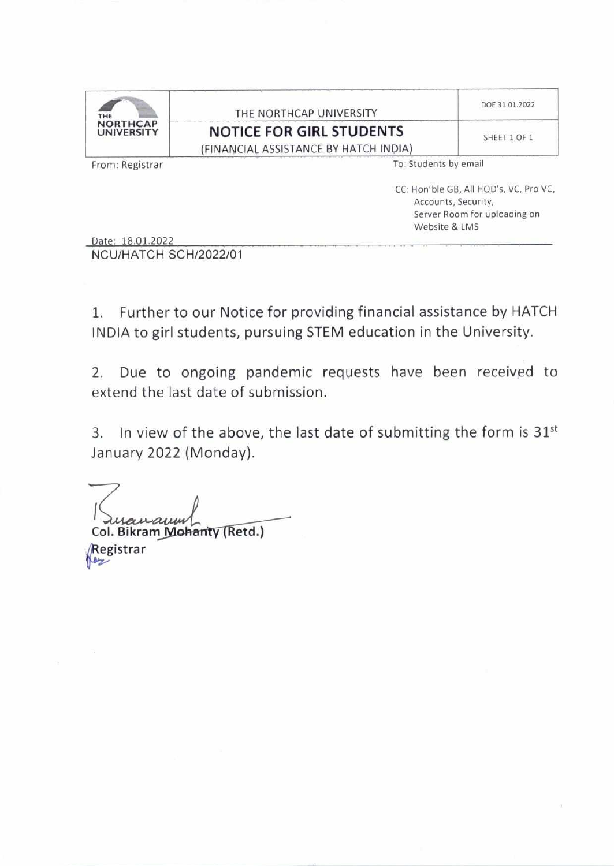| THE NORTHCAP UNIVERSITY               | DOE 31.01.2022 |
|---------------------------------------|----------------|
| <b>NOTICE FOR GIRL STUDENTS</b>       | SHEET 1 OF 1   |
| (FINANCIAL ASSISTANCE BY HATCH INDIA) |                |
|                                       |                |

From: Registrar

To: Students by email

CC: Hon'ble GB, All HOD's, VC, Pro VC, Accounts, Security, Server Room for uploading on Website & LMS

Date: 18.01.2022

NCU/HATCH SCH/2022/01

1. Further to our Notice for providing financial assistance by HATCH INDIA to girl students, pursuing STEM education in the University.

Due to ongoing pandemic requests have been received to  $2.$ extend the last date of submission.

3. In view of the above, the last date of submitting the form is 31st January 2022 (Monday).

Col. Bikram Mohanty (Retd.) **Registrar** 

loz

 $\overline{\Xi}$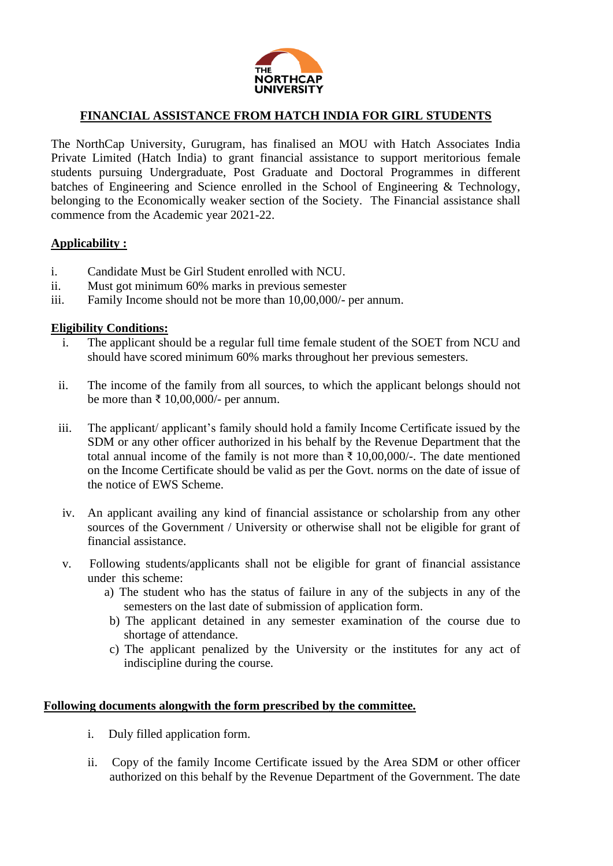

### **FINANCIAL ASSISTANCE FROM HATCH INDIA FOR GIRL STUDENTS**

The NorthCap University, Gurugram, has finalised an MOU with Hatch Associates India Private Limited (Hatch India) to grant financial assistance to support meritorious female students pursuing Undergraduate, Post Graduate and Doctoral Programmes in different batches of Engineering and Science enrolled in the School of Engineering & Technology, belonging to the Economically weaker section of the Society. The Financial assistance shall commence from the Academic year 2021-22.

#### **Applicability :**

- i. Candidate Must be Girl Student enrolled with NCU.
- ii. Must got minimum 60% marks in previous semester
- iii. Family Income should not be more than 10,00,000/- per annum.

#### **Eligibility Conditions:**

- i. The applicant should be a regular full time female student of the SOET from NCU and should have scored minimum 60% marks throughout her previous semesters.
- ii. The income of the family from all sources, to which the applicant belongs should not be more than ₹ 10,00,000/- per annum.
- iii. The applicant/ applicant's family should hold a family Income Certificate issued by the SDM or any other officer authorized in his behalf by the Revenue Department that the total annual income of the family is not more than ₹ 10,00,000/-. The date mentioned on the Income Certificate should be valid as per the Govt. norms on the date of issue of the notice of EWS Scheme.
- iv. An applicant availing any kind of financial assistance or scholarship from any other sources of the Government / University or otherwise shall not be eligible for grant of financial assistance.
- v. Following students/applicants shall not be eligible for grant of financial assistance under this scheme:
	- a) The student who has the status of failure in any of the subjects in any of the semesters on the last date of submission of application form.
	- b) The applicant detained in any semester examination of the course due to shortage of attendance.
	- c) The applicant penalized by the University or the institutes for any act of indiscipline during the course.

#### **Following documents alongwith the form prescribed by the committee.**

- i. Duly filled application form.
- ii. Copy of the family Income Certificate issued by the Area SDM or other officer authorized on this behalf by the Revenue Department of the Government. The date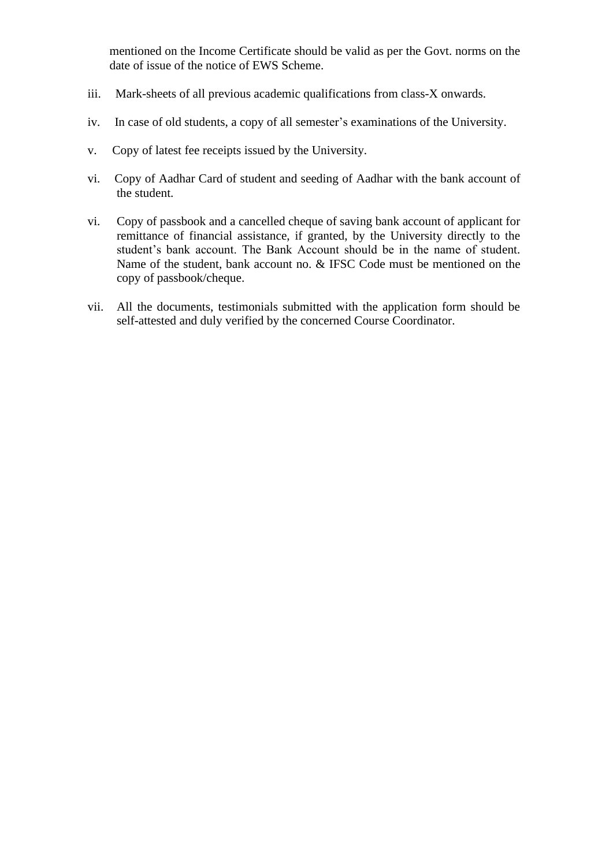mentioned on the Income Certificate should be valid as per the Govt. norms on the date of issue of the notice of EWS Scheme.

- iii. Mark-sheets of all previous academic qualifications from class-X onwards.
- iv. In case of old students, a copy of all semester's examinations of the University.
- v. Copy of latest fee receipts issued by the University.
- vi. Copy of Aadhar Card of student and seeding of Aadhar with the bank account of the student.
- vi. Copy of passbook and a cancelled cheque of saving bank account of applicant for remittance of financial assistance, if granted, by the University directly to the student's bank account. The Bank Account should be in the name of student. Name of the student, bank account no. & IFSC Code must be mentioned on the copy of passbook/cheque.
- vii. All the documents, testimonials submitted with the application form should be self-attested and duly verified by the concerned Course Coordinator.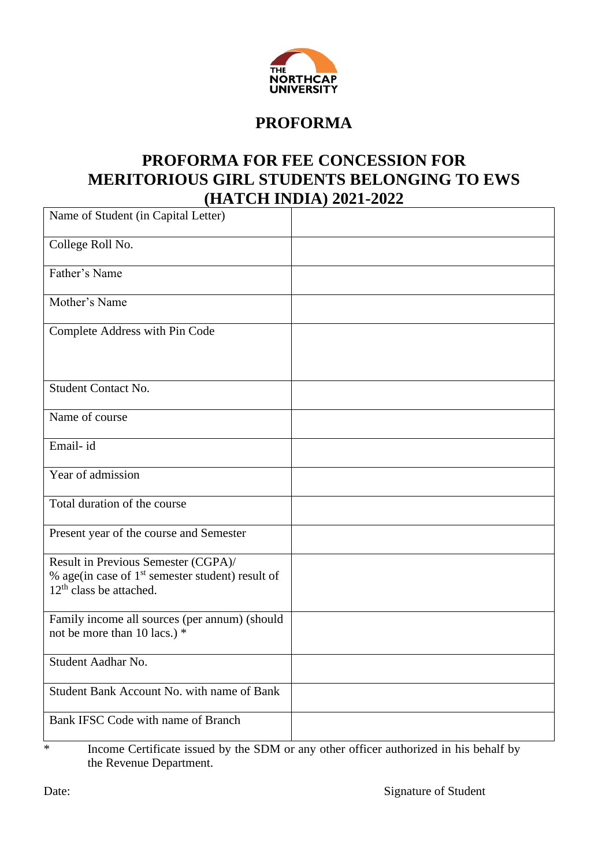

# **PROFORMA**

## **PROFORMA FOR FEE CONCESSION FOR MERITORIOUS GIRL STUDENTS BELONGING TO EWS (HATCH INDIA) 2021-2022**

| Name of Student (in Capital Letter)                                                                                    |  |
|------------------------------------------------------------------------------------------------------------------------|--|
| College Roll No.                                                                                                       |  |
| Father's Name                                                                                                          |  |
| Mother's Name                                                                                                          |  |
| Complete Address with Pin Code                                                                                         |  |
| <b>Student Contact No.</b>                                                                                             |  |
| Name of course                                                                                                         |  |
| Email-id                                                                                                               |  |
| Year of admission                                                                                                      |  |
| Total duration of the course                                                                                           |  |
| Present year of the course and Semester                                                                                |  |
| Result in Previous Semester (CGPA)/<br>% age(in case of $1st$ semester student) result of<br>$12th$ class be attached. |  |
| Family income all sources (per annum) (should<br>not be more than 10 lacs.) *                                          |  |
| Student Aadhar No.                                                                                                     |  |
| Student Bank Account No. with name of Bank                                                                             |  |
| Bank IFSC Code with name of Branch                                                                                     |  |

\* Income Certificate issued by the SDM or any other officer authorized in his behalf by the Revenue Department.